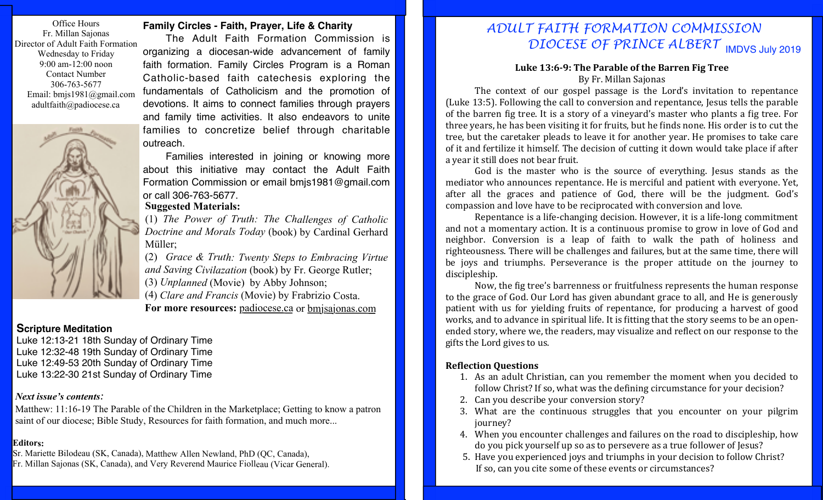Office Hours Fr. Millan Sajonas Director of Adult Faith Formation Wednesday to Friday 9:00 am-12:00 noon Contact Number 306-763-5677 Email: bmjs1981@gmail.com adultfaith@padiocese.ca



### **Family Circles - Faith, Prayer, Life & Charity**

The Adult Faith Formation Commission is organizing a diocesan-wide advancement of family faith formation. Family Circles Program is a Roman Catholic-based faith catechesis exploring the fundamentals of Catholicism and the promotion of devotions. It aims to connect families through prayers and family time activities. It also endeavors to unite families to concretize belief through charitable outreach.

Families interested in joining or knowing more about this initiative may contact the Adult Faith Formation Commission or email bmjs1981@gmail.com or call 306-763-5677.

## **Suggested Materials:**

(1) *The Power of Truth: The Challenges of Catholic Doctrine and Morals Today* (book) by Cardinal Gerhard Müller;

(2) *Grace & Truth: Twenty Steps to Embracing Virtue and Saving Civilazation* (book) by Fr. George Rutler; (3) *Unplanned* (Movie) by Abby Johnson; (4) *Clare and Francis* (Movie) by Frabrizio Costa. **For more resources:** padiocese.ca or bmjsajonas.com

#### **Scripture Meditation**

Luke 12:13-21 18th Sunday of Ordinary Time Luke 12:32-48 19th Sunday of Ordinary Time Luke 12:49-53 20th Sunday of Ordinary Time Luke 13:22-30 21st Sunday of Ordinary Time

#### *Next issue's contents:*

Matthew: 11:16-19 The Parable of the Children in the Marketplace; Getting to know a patron saint of our diocese; Bible Study, Resources for faith formation, and much more...

#### **Editors:**

Sr. Mariette Bilodeau (SK, Canada), Matthew Allen Newland, PhD (QC, Canada),

Fr. Millan Sajonas (SK, Canada), and Very Reverend Maurice Fiolleau (Vicar General).

# IMDVS July 2019 *DIOCESE OF PRINCE ALBERT ADULT FAITH FORMATION COMMISSION*

#### Luke 13:6-9: The Parable of the Barren Fig Tree By Fr. Millan Sajonas

The context of our gospel passage is the Lord's invitation to repentance (Luke 13:5). Following the call to conversion and repentance, Jesus tells the parable of the barren fig tree. It is a story of a vineyard's master who plants a fig tree. For three years, he has been visiting it for fruits, but he finds none. His order is to cut the tree, but the caretaker pleads to leave it for another year. He promises to take care of it and fertilize it himself. The decision of cutting it down would take place if after a year it still does not bear fruit.

God is the master who is the source of everything. Jesus stands as the mediator who announces repentance. He is merciful and patient with everyone. Yet, after all the graces and patience of God, there will be the judgment. God's compassion and love have to be reciprocated with conversion and love.

Repentance is a life-changing decision. However, it is a life-long commitment and not a momentary action. It is a continuous promise to grow in love of God and neighbor. Conversion is a leap of faith to walk the path of holiness and righteousness. There will be challenges and failures, but at the same time, there will be joys and triumphs. Perseverance is the proper attitude on the journey to discipleship.

Now, the fig tree's barrenness or fruitfulness represents the human response to the grace of God. Our Lord has given abundant grace to all, and He is generously patient with us for yielding fruits of repentance, for producing a harvest of good works, and to advance in spiritual life. It is fitting that the story seems to be an openended story, where we, the readers, may visualize and reflect on our response to the gifts the Lord gives to us.

#### **Reflection Questions**

- 1. As an adult Christian, can you remember the moment when you decided to follow Christ? If so, what was the defining circumstance for your decision?
- 2. Can you describe your conversion story?
- 3. What are the continuous struggles that you encounter on your pilgrim journey?
- 4. When you encounter challenges and failures on the road to discipleship, how do you pick yourself up so as to persevere as a true follower of Jesus?
- 5. Have you experienced joys and triumphs in your decision to follow Christ? If so, can you cite some of these events or circumstances?